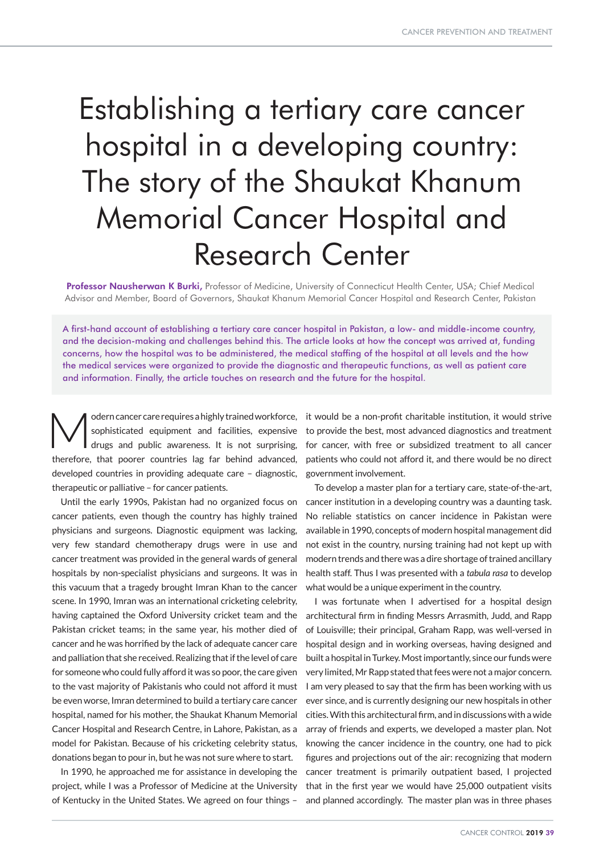# Establishing a tertiary care cancer hospital in a developing country: The story of the Shaukat Khanum Memorial Cancer Hospital and Research Center

Professor Nausherwan K Burki, Professor of Medicine, University of Connecticut Health Center, USA; Chief Medical Advisor and Member, Board of Governors, Shaukat Khanum Memorial Cancer Hospital and Research Center, Pakistan

A first-hand account of establishing a tertiary care cancer hospital in Pakistan, a low- and middle-income country, and the decision-making and challenges behind this. The article looks at how the concept was arrived at, funding concerns, how the hospital was to be administered, the medical staffing of the hospital at all levels and the how the medical services were organized to provide the diagnostic and therapeutic functions, as well as patient care and information. Finally, the article touches on research and the future for the hospital.

odern cancer care requires a highly trained workforce, sophisticated equipment and facilities, expensive drugs and public awareness. It is not surprising, therefore, that poorer countries lag far behind advanced, developed countries in providing adequate care – diagnostic, therapeutic or palliative – for cancer patients.

Until the early 1990s, Pakistan had no organized focus on cancer patients, even though the country has highly trained physicians and surgeons. Diagnostic equipment was lacking, very few standard chemotherapy drugs were in use and cancer treatment was provided in the general wards of general hospitals by non-specialist physicians and surgeons. It was in this vacuum that a tragedy brought Imran Khan to the cancer scene. In 1990, Imran was an international cricketing celebrity, having captained the Oxford University cricket team and the Pakistan cricket teams; in the same year, his mother died of cancer and he was horrified by the lack of adequate cancer care and palliation that she received. Realizing that if the level of care for someone who could fully afford it was so poor, the care given to the vast majority of Pakistanis who could not afford it must be even worse, Imran determined to build a tertiary care cancer hospital, named for his mother, the Shaukat Khanum Memorial Cancer Hospital and Research Centre, in Lahore, Pakistan, as a model for Pakistan. Because of his cricketing celebrity status, donations began to pour in, but he was not sure where to start.

In 1990, he approached me for assistance in developing the project, while I was a Professor of Medicine at the University of Kentucky in the United States. We agreed on four things –

it would be a non-profit charitable institution, it would strive to provide the best, most advanced diagnostics and treatment for cancer, with free or subsidized treatment to all cancer patients who could not afford it, and there would be no direct government involvement.

To develop a master plan for a tertiary care, state-of-the-art, cancer institution in a developing country was a daunting task. No reliable statistics on cancer incidence in Pakistan were available in 1990, concepts of modern hospital management did not exist in the country, nursing training had not kept up with modern trends and there was a dire shortage of trained ancillary health staff. Thus I was presented with a *tabula rasa* to develop what would be a unique experiment in the country.

I was fortunate when I advertised for a hospital design architectural firm in finding Messrs Arrasmith, Judd, and Rapp of Louisville; their principal, Graham Rapp, was well-versed in hospital design and in working overseas, having designed and built a hospital in Turkey. Most importantly, since our funds were very limited, Mr Rapp stated that fees were not a major concern. I am very pleased to say that the firm has been working with us ever since, and is currently designing our new hospitals in other cities. With this architectural firm, and in discussions with a wide array of friends and experts, we developed a master plan. Not knowing the cancer incidence in the country, one had to pick figures and projections out of the air: recognizing that modern cancer treatment is primarily outpatient based, I projected that in the first year we would have 25,000 outpatient visits and planned accordingly. The master plan was in three phases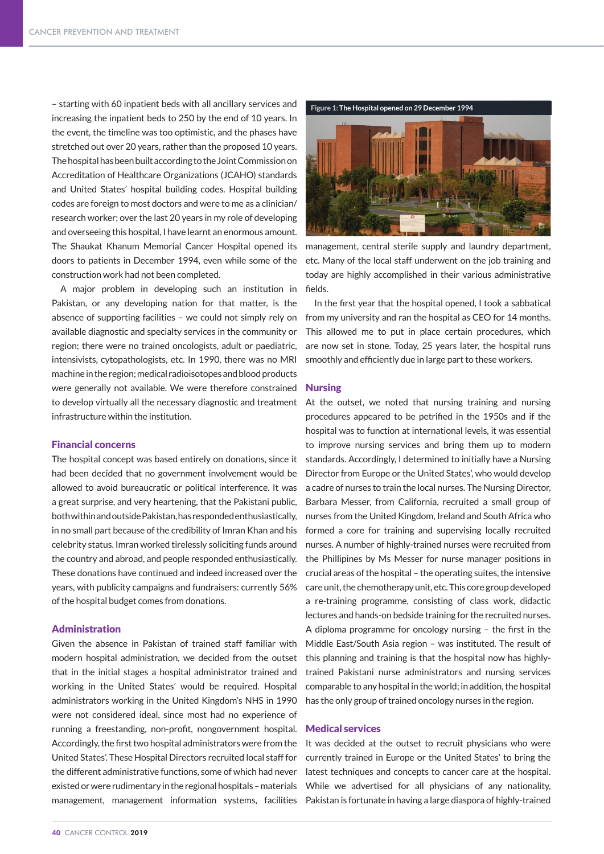– starting with 60 inpatient beds with all ancillary services and increasing the inpatient beds to 250 by the end of 10 years. In the event, the timeline was too optimistic, and the phases have stretched out over 20 years, rather than the proposed 10 years. The hospital has been built according to the Joint Commission on Accreditation of Healthcare Organizations (JCAHO) standards and United States' hospital building codes. Hospital building codes are foreign to most doctors and were to me as a clinician/ research worker; over the last 20 years in my role of developing and overseeing this hospital, I have learnt an enormous amount. The Shaukat Khanum Memorial Cancer Hospital opened its doors to patients in December 1994, even while some of the construction work had not been completed.

A major problem in developing such an institution in Pakistan, or any developing nation for that matter, is the absence of supporting facilities – we could not simply rely on available diagnostic and specialty services in the community or region; there were no trained oncologists, adult or paediatric, intensivists, cytopathologists, etc. In 1990, there was no MRI machine in the region; medical radioisotopes and blood products were generally not available. We were therefore constrained to develop virtually all the necessary diagnostic and treatment infrastructure within the institution.

## Financial concerns

The hospital concept was based entirely on donations, since it had been decided that no government involvement would be allowed to avoid bureaucratic or political interference. It was a great surprise, and very heartening, that the Pakistani public, both within and outside Pakistan, has responded enthusiastically, in no small part because of the credibility of Imran Khan and his celebrity status. Imran worked tirelessly soliciting funds around the country and abroad, and people responded enthusiastically. These donations have continued and indeed increased over the years, with publicity campaigns and fundraisers: currently 56% of the hospital budget comes from donations.

## Administration

Given the absence in Pakistan of trained staff familiar with modern hospital administration, we decided from the outset that in the initial stages a hospital administrator trained and working in the United States' would be required. Hospital administrators working in the United Kingdom's NHS in 1990 were not considered ideal, since most had no experience of running a freestanding, non-profit, nongovernment hospital. Accordingly, the first two hospital administrators were from the United States'. These Hospital Directors recruited local staff for the different administrative functions, some of which had never existed or were rudimentary in the regional hospitals – materials management, management information systems, facilities



management, central sterile supply and laundry department, etc. Many of the local staff underwent on the job training and today are highly accomplished in their various administrative fields.

In the first year that the hospital opened, I took a sabbatical from my university and ran the hospital as CEO for 14 months. This allowed me to put in place certain procedures, which are now set in stone. Today, 25 years later, the hospital runs smoothly and efficiently due in large part to these workers.

#### Nursing

At the outset, we noted that nursing training and nursing procedures appeared to be petrified in the 1950s and if the hospital was to function at international levels, it was essential to improve nursing services and bring them up to modern standards. Accordingly, I determined to initially have a Nursing Director from Europe or the United States', who would develop a cadre of nurses to train the local nurses. The Nursing Director, Barbara Messer, from California, recruited a small group of nurses from the United Kingdom, Ireland and South Africa who formed a core for training and supervising locally recruited nurses. A number of highly-trained nurses were recruited from the Phillipines by Ms Messer for nurse manager positions in crucial areas of the hospital – the operating suites, the intensive care unit, the chemotherapy unit, etc. This core group developed a re-training programme, consisting of class work, didactic lectures and hands-on bedside training for the recruited nurses. A diploma programme for oncology nursing – the first in the Middle East/South Asia region – was instituted. The result of this planning and training is that the hospital now has highlytrained Pakistani nurse administrators and nursing services comparable to any hospital in the world; in addition, the hospital has the only group of trained oncology nurses in the region.

## Medical services

It was decided at the outset to recruit physicians who were currently trained in Europe or the United States' to bring the latest techniques and concepts to cancer care at the hospital. While we advertised for all physicians of any nationality, Pakistan is fortunate in having a large diaspora of highly-trained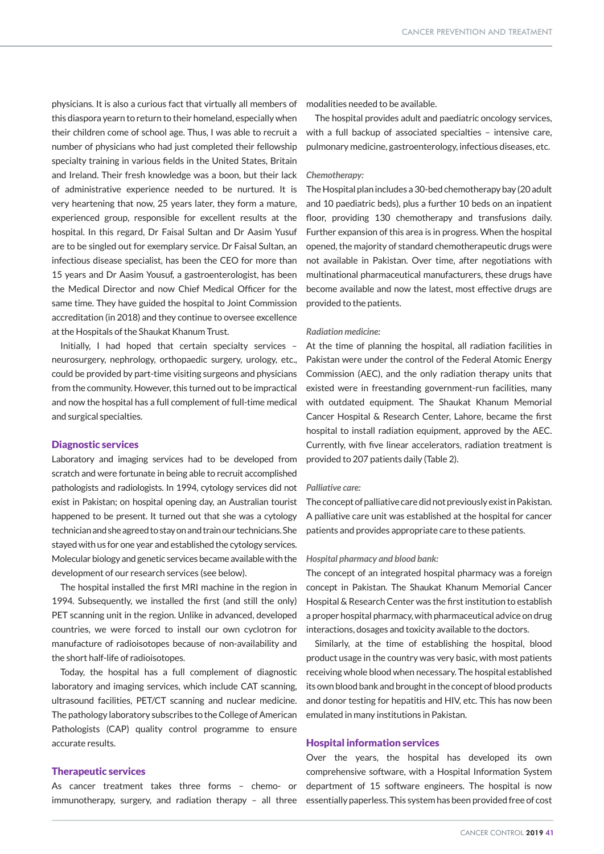physicians. It is also a curious fact that virtually all members of this diaspora yearn to return to their homeland, especially when their children come of school age. Thus, I was able to recruit a number of physicians who had just completed their fellowship specialty training in various fields in the United States, Britain and Ireland. Their fresh knowledge was a boon, but their lack of administrative experience needed to be nurtured. It is very heartening that now, 25 years later, they form a mature, experienced group, responsible for excellent results at the hospital. In this regard, Dr Faisal Sultan and Dr Aasim Yusuf are to be singled out for exemplary service. Dr Faisal Sultan, an infectious disease specialist, has been the CEO for more than 15 years and Dr Aasim Yousuf, a gastroenterologist, has been the Medical Director and now Chief Medical Officer for the same time. They have guided the hospital to Joint Commission accreditation (in 2018) and they continue to oversee excellence at the Hospitals of the Shaukat Khanum Trust.

Initially, I had hoped that certain specialty services – neurosurgery, nephrology, orthopaedic surgery, urology, etc., could be provided by part-time visiting surgeons and physicians from the community. However, this turned out to be impractical and now the hospital has a full complement of full-time medical and surgical specialties.

## Diagnostic services

Laboratory and imaging services had to be developed from scratch and were fortunate in being able to recruit accomplished pathologists and radiologists. In 1994, cytology services did not exist in Pakistan; on hospital opening day, an Australian tourist happened to be present. It turned out that she was a cytology technician and she agreed to stay on and train our technicians. She stayed with us for one year and established the cytology services. Molecular biology and genetic services became available with the development of our research services (see below).

The hospital installed the first MRI machine in the region in 1994. Subsequently, we installed the first (and still the only) PET scanning unit in the region. Unlike in advanced, developed countries, we were forced to install our own cyclotron for manufacture of radioisotopes because of non-availability and the short half-life of radioisotopes.

Today, the hospital has a full complement of diagnostic laboratory and imaging services, which include CAT scanning, ultrasound facilities, PET/CT scanning and nuclear medicine. The pathology laboratory subscribes to the College of American Pathologists (CAP) quality control programme to ensure accurate results.

# Therapeutic services

As cancer treatment takes three forms – chemo- or

modalities needed to be available.

The hospital provides adult and paediatric oncology services, with a full backup of associated specialties – intensive care, pulmonary medicine, gastroenterology, infectious diseases, etc.

#### *Chemotherapy:*

The Hospital plan includes a 30-bed chemotherapy bay (20 adult and 10 paediatric beds), plus a further 10 beds on an inpatient floor, providing 130 chemotherapy and transfusions daily. Further expansion of this area is in progress. When the hospital opened, the majority of standard chemotherapeutic drugs were not available in Pakistan. Over time, after negotiations with multinational pharmaceutical manufacturers, these drugs have become available and now the latest, most effective drugs are provided to the patients.

## *Radiation medicine:*

At the time of planning the hospital, all radiation facilities in Pakistan were under the control of the Federal Atomic Energy Commission (AEC), and the only radiation therapy units that existed were in freestanding government-run facilities, many with outdated equipment. The Shaukat Khanum Memorial Cancer Hospital & Research Center, Lahore, became the first hospital to install radiation equipment, approved by the AEC. Currently, with five linear accelerators, radiation treatment is provided to 207 patients daily (Table 2).

## *Palliative care:*

The concept of palliative care did not previously exist in Pakistan. A palliative care unit was established at the hospital for cancer patients and provides appropriate care to these patients.

## *Hospital pharmacy and blood bank:*

The concept of an integrated hospital pharmacy was a foreign concept in Pakistan. The Shaukat Khanum Memorial Cancer Hospital & Research Center was the first institution to establish a proper hospital pharmacy, with pharmaceutical advice on drug interactions, dosages and toxicity available to the doctors.

Similarly, at the time of establishing the hospital, blood product usage in the country was very basic, with most patients receiving whole blood when necessary. The hospital established its own blood bank and brought in the concept of blood products and donor testing for hepatitis and HIV, etc. This has now been emulated in many institutions in Pakistan.

## Hospital information services

immunotherapy, surgery, and radiation therapy – all three essentially paperless. This system has been provided free of cost Over the years, the hospital has developed its own comprehensive software, with a Hospital Information System department of 15 software engineers. The hospital is now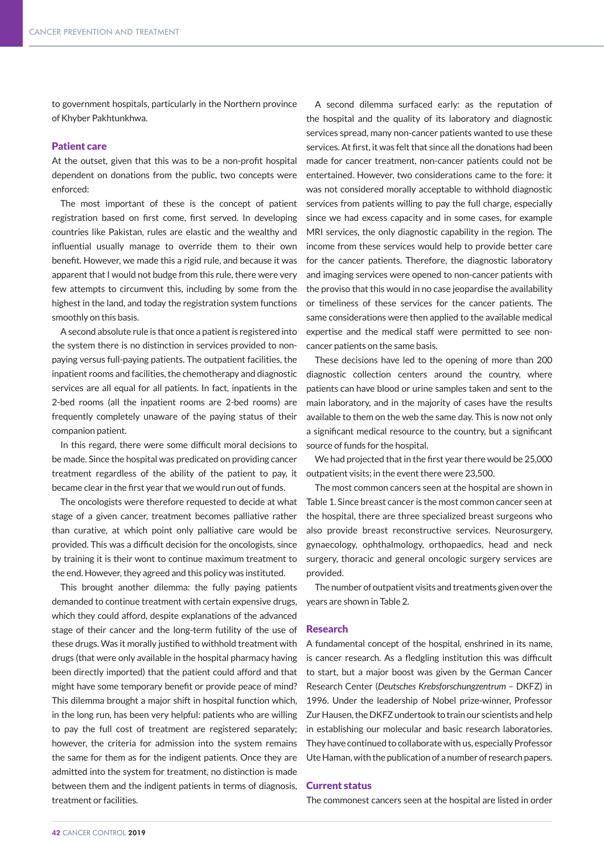to government hospitals, particularly in the Northern province of Khyber Pakhtunkhwa.

# Patient care

At the outset, given that this was to be a non-profit hospital dependent on donations from the public, two concepts were enforced:

The most important of these is the concept of patient registration based on first come, first served. In developing countries like Pakistan, rules are elastic and the wealthy and influential usually manage to override them to their own benefit. However, we made this a rigid rule, and because it was apparent that I would not budge from this rule, there were very few attempts to circumvent this, including by some from the highest in the land, and today the registration system functions smoothly on this basis.

A second absolute rule is that once a patient is registered into the system there is no distinction in services provided to nonpaying versus full-paying patients. The outpatient facilities, the inpatient rooms and facilities, the chemotherapy and diagnostic services are all equal for all patients. In fact, inpatients in the 2-bed rooms (all the inpatient rooms are 2-bed rooms) are frequently completely unaware of the paying status of their companion patient.

In this regard, there were some difficult moral decisions to be made. Since the hospital was predicated on providing cancer treatment regardless of the ability of the patient to pay, it became clear in the first year that we would run out of funds.

The oncologists were therefore requested to decide at what stage of a given cancer, treatment becomes palliative rather than curative, at which point only palliative care would be provided. This was a difficult decision for the oncologists, since by training it is their wont to continue maximum treatment to the end. However, they agreed and this policy was instituted.

This brought another dilemma: the fully paying patients demanded to continue treatment with certain expensive drugs, which they could afford, despite explanations of the advanced stage of their cancer and the long-term futility of the use of these drugs. Was it morally justified to withhold treatment with drugs (that were only available in the hospital pharmacy having been directly imported) that the patient could afford and that might have some temporary benefit or provide peace of mind? This dilemma brought a major shift in hospital function which, in the long run, has been very helpful: patients who are willing to pay the full cost of treatment are registered separately; however, the criteria for admission into the system remains the same for them as for the indigent patients. Once they are admitted into the system for treatment, no distinction is made between them and the indigent patients in terms of diagnosis, treatment or facilities.

A second dilemma surfaced early: as the reputation of the hospital and the quality of its laboratory and diagnostic services spread, many non-cancer patients wanted to use these services. At first, it was felt that since all the donations had been made for cancer treatment, non-cancer patients could not be entertained. However, two considerations came to the fore: it was not considered morally acceptable to withhold diagnostic services from patients willing to pay the full charge, especially since we had excess capacity and in some cases, for example MRI services, the only diagnostic capability in the region. The income from these services would help to provide better care for the cancer patients. Therefore, the diagnostic laboratory and imaging services were opened to non-cancer patients with the proviso that this would in no case jeopardise the availability or timeliness of these services for the cancer patients. The same considerations were then applied to the available medical expertise and the medical staff were permitted to see noncancer patients on the same basis.

These decisions have led to the opening of more than 200 diagnostic collection centers around the country, where patients can have blood or urine samples taken and sent to the main laboratory, and in the majority of cases have the results available to them on the web the same day. This is now not only a significant medical resource to the country, but a significant source of funds for the hospital.

We had projected that in the first year there would be 25,000 outpatient visits; in the event there were 23,500.

The most common cancers seen at the hospital are shown in Table 1. Since breast cancer is the most common cancer seen at the hospital, there are three specialized breast surgeons who also provide breast reconstructive services. Neurosurgery, gynaecology, ophthalmology, orthopaedics, head and neck surgery, thoracic and general oncologic surgery services are provided.

The number of outpatient visits and treatments given over the years are shown in Table 2.

#### Research

A fundamental concept of the hospital, enshrined in its name, is cancer research. As a fledgling institution this was difficult to start, but a major boost was given by the German Cancer Research Center (*Deutsches Krebsforschungzentrum* – DKFZ) in 1996. Under the leadership of Nobel prize-winner, Professor Zur Hausen, the DKFZ undertook to train our scientists and help in establishing our molecular and basic research laboratories. They have continued to collaborate with us, especially Professor Ute Haman, with the publication of a number of research papers.

## Current status

The commonest cancers seen at the hospital are listed in order